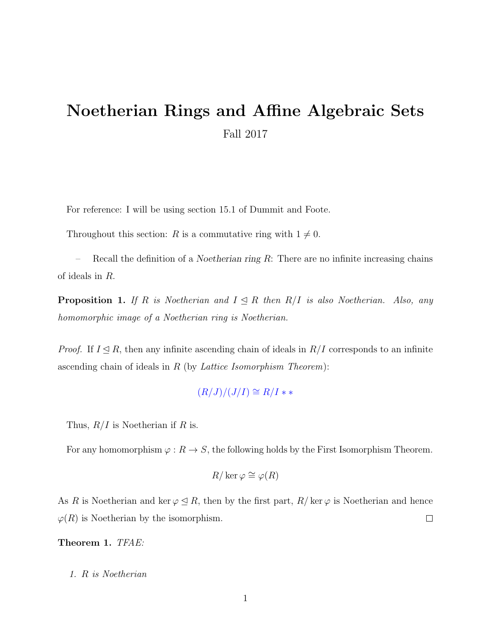## Noetherian Rings and Affine Algebraic Sets Fall 2017

For reference: I will be using section 15.1 of Dummit and Foote.

Throughout this section: R is a commutative ring with  $1 \neq 0$ .

Recall the definition of a *Noetherian ring R*: There are no infinite increasing chains of ideals in R.

**Proposition 1.** If R is Noetherian and  $I \leq R$  then  $R/I$  is also Noetherian. Also, any homomorphic image of a Noetherian ring is Noetherian.

*Proof.* If  $I \subseteq R$ , then any infinite ascending chain of ideals in  $R/I$  corresponds to an infinite ascending chain of ideals in  $R$  (by *Lattice Isomorphism Theorem*):

 $(R/J)/(J/I) \cong R/I$  \* \*

Thus,  $R/I$  is Noetherian if R is.

For any homomorphism  $\varphi : R \to S$ , the following holds by the First Isomorphism Theorem.

$$
R/\ker\varphi\cong\varphi(R)
$$

As R is Noetherian and ker  $\varphi \leq R$ , then by the first part,  $R/\ker \varphi$  is Noetherian and hence  $\varphi(R)$  is Noetherian by the isomorphism.  $\Box$ 

Theorem 1. TFAE:

1. R is Noetherian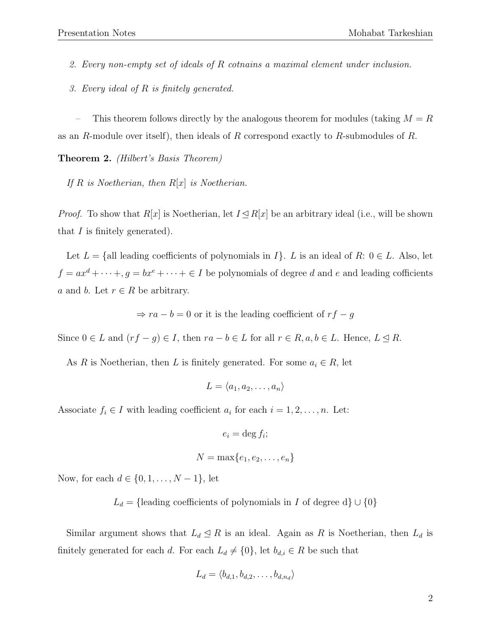2. Every non-empty set of ideals of R cotnains a maximal element under inclusion.

3. Every ideal of R is finitely generated.

This theorem follows directly by the analogous theorem for modules (taking  $M = R$ as an R-module over itself), then ideals of R correspond exactly to R-submodules of R.

Theorem 2. (Hilbert's Basis Theorem)

If  $R$  is Noetherian, then  $R[x]$  is Noetherian.

*Proof.* To show that  $R[x]$  is Noetherian, let  $I \trianglelefteq R[x]$  be an arbitrary ideal (i.e., will be shown that  $I$  is finitely generated).

Let  $L = \{$ all leading coefficients of polynomials in  $I\}$ . L is an ideal of R:  $0 \in L$ . Also, let  $f = ax^d + \cdots + g = bx^e + \cdots + \in I$  be polynomials of degree d and e and leading cofficients a and b. Let  $r \in R$  be arbitrary.

⇒  $ra - b = 0$  or it is the leading coefficient of  $rf - g$ 

Since  $0 \in L$  and  $(rf - g) \in I$ , then  $ra - b \in L$  for all  $r \in R$ ,  $a, b \in L$ . Hence,  $L \leq R$ .

As R is Noetherian, then L is finitely generated. For some  $a_i \in R$ , let

$$
L = \langle a_1, a_2, \dots, a_n \rangle
$$

Associate  $f_i \in I$  with leading coefficient  $a_i$  for each  $i = 1, 2, ..., n$ . Let:

$$
e_i = \deg f_i;
$$
  

$$
N = \max\{e_1, e_2, \dots, e_n\}
$$

Now, for each  $d \in \{0, 1, ..., N - 1\}$ , let

L<sub>d</sub> = {leading coefficients of polynomials in I of degree d}  $\cup$  {0}

Similar argument shows that  $L_d \leq R$  is an ideal. Again as R is Noetherian, then  $L_d$  is finitely generated for each d. For each  $L_d \neq \{0\}$ , let  $b_{d,i} \in R$  be such that

$$
L_d = \langle b_{d,1}, b_{d,2}, \dots, b_{d,n_d} \rangle
$$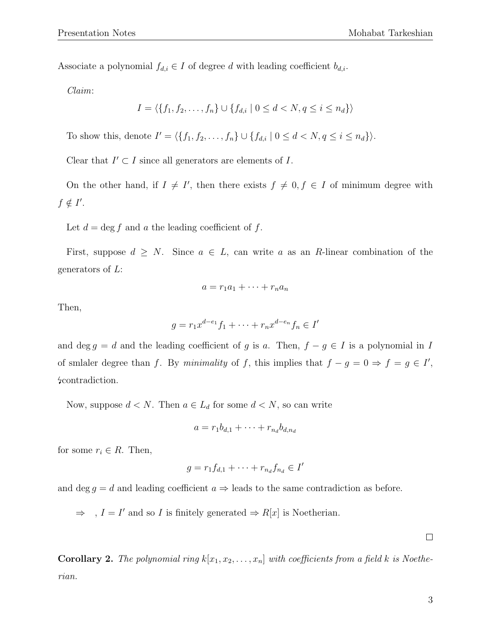Associate a polynomial  $f_{d,i} \in I$  of degree d with leading coefficient  $b_{d,i}$ .

Claim:

$$
I = \langle \{f_1, f_2, \dots, f_n\} \cup \{f_{d,i} \mid 0 \le d < N, q \le i \le n_d\} \rangle
$$

To show this, denote  $I' = \langle \{f_1, f_2, \ldots, f_n\} \cup \{f_{d,i} \mid 0 \le d < N, q \le i \le n_d\} \rangle$ .

Clear that  $I' \subset I$  since all generators are elements of  $I$ .

On the other hand, if  $I \neq I'$ , then there exists  $f \neq 0, f \in I$  of minimum degree with  $f \notin I'.$ 

Let  $d = \deg f$  and a the leading coefficient of f.

First, suppose  $d \geq N$ . Since  $a \in L$ , can write a as an R-linear combination of the generators of  $L$ :

$$
a = r_1 a_1 + \dots + r_n a_n
$$

Then,

$$
g = r_1 x^{d-e_1} f_1 + \dots + r_n x^{d-e_n} f_n \in I'
$$

and deg  $g = d$  and the leading coefficient of g is a. Then,  $f - g \in I$  is a polynomial in I of smlaler degree than f. By minimality of f, this implies that  $f - g = 0 \Rightarrow f = g \in I'$ , contradiction.

Now, suppose  $d < N$ . Then  $a \in L_d$  for some  $d < N$ , so can write

$$
a = r_1 b_{d,1} + \dots + r_{n_d} b_{d,n_d}
$$

for some  $r_i \in R$ . Then,

$$
g = r_1 f_{d,1} + \dots + r_{n_d} f_{n_d} \in I'
$$

and deg  $g = d$  and leading coefficient  $a \Rightarrow$  leads to the same contradiction as before.

 $\Rightarrow$ ,  $I = I'$  and so I is finitely generated  $\Rightarrow R[x]$  is Noetherian.

 $\Box$ 

**Corollary 2.** The polynomial ring  $k[x_1, x_2, \ldots, x_n]$  with coefficients from a field k is Noetherian.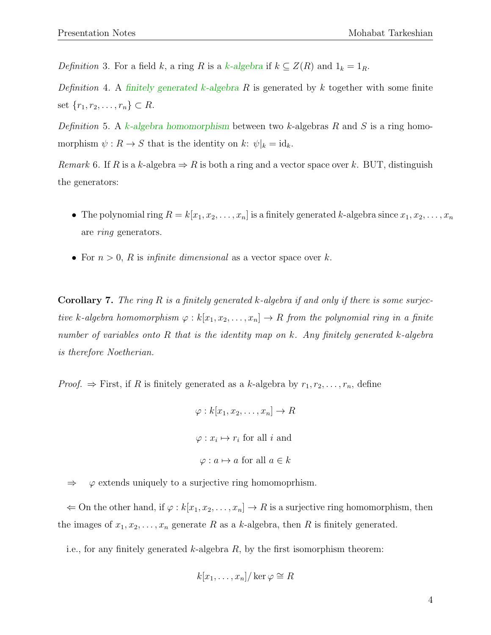Definition 3. For a field k, a ring R is a k-algebra if  $k \subseteq Z(R)$  and  $1_k = 1_R$ .

Definition 4. A finitely generated k-algebra R is generated by k together with some finite set  $\{r_1, r_2, \ldots, r_n\} \subset R$ .

Definition 5. A k-algebra homomorphism between two k-algebras R and S is a ring homomorphism  $\psi : R \to S$  that is the identity on k:  $\psi|_k = id_k$ .

Remark 6. If R is a k-algebra  $\Rightarrow$  R is both a ring and a vector space over k. BUT, distinguish the generators:

- The polynomial ring  $R = k[x_1, x_2, \ldots, x_n]$  is a finitely generated k-algebra since  $x_1, x_2, \ldots, x_n$ are ring generators.
- For  $n > 0$ , R is infinite dimensional as a vector space over k.

**Corollary 7.** The ring R is a finitely generated k-algebra if and only if there is some surjective k-algebra homomorphism  $\varphi : k[x_1, x_2, \ldots, x_n] \to R$  from the polynomial ring in a finite number of variables onto R that is the identity map on k. Any finitely generated k-algebra is therefore Noetherian.

*Proof.*  $\Rightarrow$  First, if R is finitely generated as a k-algebra by  $r_1, r_2, \ldots, r_n$ , define

```
\varphi: k[x_1, x_2, \ldots, x_n] \to R\varphi: x_i \mapsto r_i for all i and
\varphi: a \mapsto a for all a \in k
```
 $\Rightarrow \varphi$  extends uniquely to a surjective ring homomoprhism.

 $\Leftarrow$  On the other hand, if  $\varphi : k[x_1, x_2, \ldots, x_n] \to R$  is a surjective ring homomorphism, then the images of  $x_1, x_2, \ldots, x_n$  generate R as a k-algebra, then R is finitely generated.

i.e., for any finitely generated k-algebra  $R$ , by the first isomorphism theorem:

$$
k[x_1,\ldots,x_n]/\ker\varphi\cong R
$$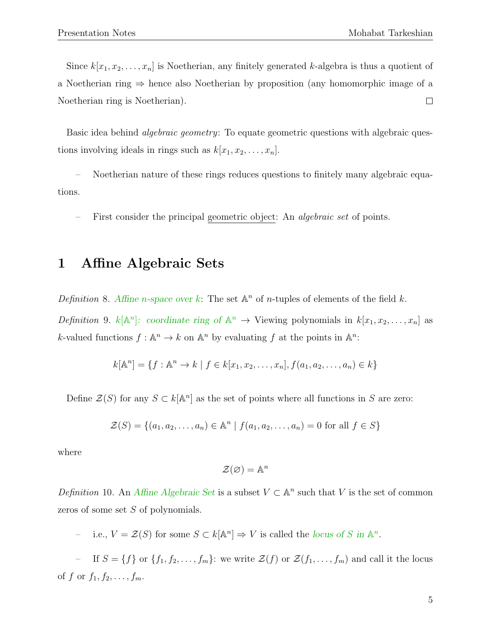Since  $k[x_1, x_2, \ldots, x_n]$  is Noetherian, any finitely generated k-algebra is thus a quotient of a Noetherian ring ⇒ hence also Noetherian by proposition (any homomorphic image of a Noetherian ring is Noetherian).  $\Box$ 

Basic idea behind *algebraic geometry*: To equate geometric questions with algebraic questions involving ideals in rings such as  $k[x_1, x_2, \ldots, x_n]$ .

– Noetherian nature of these rings reduces questions to finitely many algebraic equations.

First consider the principal geometric object: An *algebraic set* of points.

## 1 Affine Algebraic Sets

Definition 8. Affine *n*-space over k: The set  $\mathbb{A}^n$  of *n*-tuples of elements of the field k.

Definition 9.  $k[\mathbb{A}^n]$ : coordinate ring of  $\mathbb{A}^n \to \mathbb{V}$ iewing polynomials in  $k[x_1, x_2, \ldots, x_n]$  as k-valued functions  $f: \mathbb{A}^n \to k$  on  $\mathbb{A}^n$  by evaluating f at the points in  $\mathbb{A}^n$ .

$$
k[\mathbb{A}^n] = \{ f : \mathbb{A}^n \to k \mid f \in k[x_1, x_2, \dots, x_n], f(a_1, a_2, \dots, a_n) \in k \}
$$

Define  $\mathcal{Z}(S)$  for any  $S \subset k[\mathbb{A}^n]$  as the set of points where all functions in S are zero:

$$
\mathcal{Z}(S) = \{(a_1, a_2, \dots, a_n) \in \mathbb{A}^n \mid f(a_1, a_2, \dots, a_n) = 0 \text{ for all } f \in S\}
$$

where

$$
\mathcal{Z}(\varnothing) = \mathbb{A}^n
$$

Definition 10. An Affine Algebraic Set is a subset  $V \subset \mathbb{A}^n$  such that V is the set of common zeros of some set S of polynomials.

- i.e.,  $V = \mathcal{Z}(S)$  for some  $S \subset k[\mathbb{A}^n] \Rightarrow V$  is called the locus of S in  $\mathbb{A}^n$ .

- If  $S = \{f\}$  or  $\{f_1, f_2, \ldots, f_m\}$ : we write  $\mathcal{Z}(f)$  or  $\mathcal{Z}(f_1, \ldots, f_m)$  and call it the locus of f or  $f_1, f_2, \ldots, f_m$ .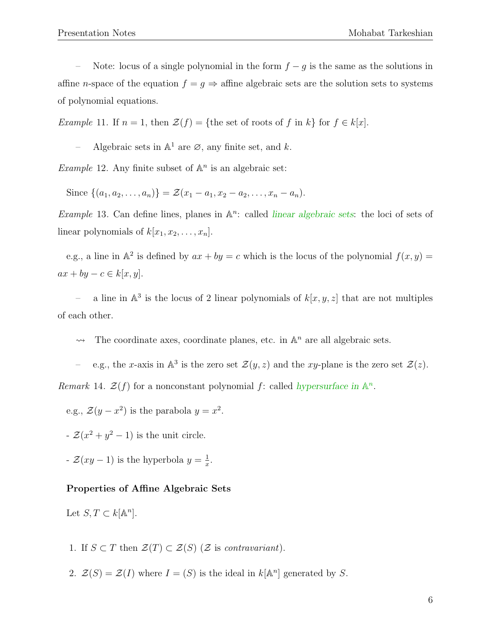Note: locus of a single polynomial in the form  $f - g$  is the same as the solutions in affine *n*-space of the equation  $f = g \Rightarrow$  affine algebraic sets are the solution sets to systems of polynomial equations.

Example 11. If  $n = 1$ , then  $\mathcal{Z}(f) = \{$  the set of roots of f in k} for  $f \in k[x]$ .

- Algebraic sets in  $\mathbb{A}^1$  are  $\emptyset$ , any finite set, and k.

*Example* 12. Any finite subset of  $\mathbb{A}^n$  is an algebraic set:

Since  $\{(a_1, a_2, \ldots, a_n)\} = \mathcal{Z}(x_1 - a_1, x_2 - a_2, \ldots, x_n - a_n).$ 

*Example* 13. Can define lines, planes in  $\mathbb{A}^n$ : called *linear algebraic sets*: the loci of sets of linear polynomials of  $k[x_1, x_2, \ldots, x_n]$ .

e.g., a line in  $\mathbb{A}^2$  is defined by  $ax + by = c$  which is the locus of the polynomial  $f(x, y) =$  $ax + by - c \in k[x, y].$ 

- a line in  $\mathbb{A}^3$  is the locus of 2 linear polynomials of  $k[x, y, z]$  that are not multiples of each other.

 $\rightarrow$  The coordinate axes, coordinate planes, etc. in  $\mathbb{A}^n$  are all algebraic sets.

– e.g., the x-axis in  $\mathbb{A}^3$  is the zero set  $\mathcal{Z}(y, z)$  and the xy-plane is the zero set  $\mathcal{Z}(z)$ .

Remark 14.  $\mathcal{Z}(f)$  for a nonconstant polynomial f: called hypersurface in  $\mathbb{A}^n$ .

e.g.,  $\mathcal{Z}(y-x^2)$  is the parabola  $y=x^2$ .

 $\mathcal{Z}(x^2+y^2-1)$  is the unit circle.

 $\mathcal{Z}(xy-1)$  is the hyperbola  $y=\frac{1}{x}$  $\frac{1}{x}$ .

## Properties of Affine Algebraic Sets

Let  $S, T \subset k[\mathbb{A}^n]$ .

- 1. If  $S \subset T$  then  $\mathcal{Z}(T) \subset \mathcal{Z}(S)$  ( $\mathcal{Z}$  is contravariant).
- 2.  $\mathcal{Z}(S) = \mathcal{Z}(I)$  where  $I = (S)$  is the ideal in  $k[\mathbb{A}^n]$  generated by S.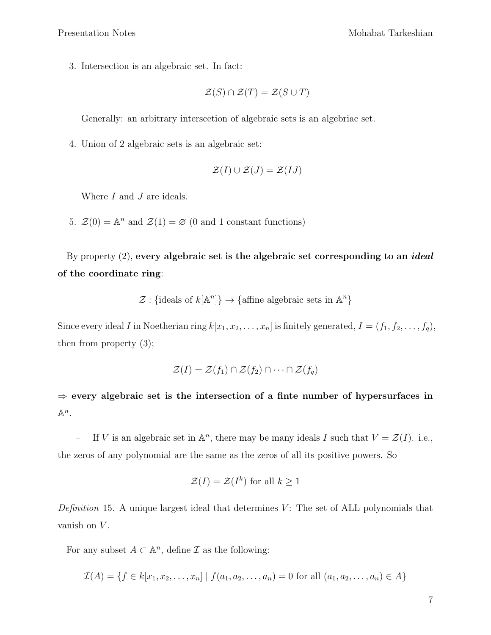3. Intersection is an algebraic set. In fact:

$$
\mathcal{Z}(S) \cap \mathcal{Z}(T) = \mathcal{Z}(S \cup T)
$$

Generally: an arbitrary interscetion of algebraic sets is an algebriac set.

4. Union of 2 algebraic sets is an algebraic set:

$$
\mathcal{Z}(I) \cup \mathcal{Z}(J) = \mathcal{Z}(IJ)
$$

Where *I* and *J* are ideals.

5.  $\mathcal{Z}(0) = \mathbb{A}^n$  and  $\mathcal{Z}(1) = \emptyset$  (0 and 1 constant functions)

By property  $(2)$ , every algebraic set is the algebraic set corresponding to an *ideal* of the coordinate ring:

 $\mathcal{Z}:$  {ideals of  $k[\mathbb{A}^n]$ }  $\rightarrow$  {affine algebraic sets in  $\mathbb{A}^n$ }

Since every ideal I in Noetherian ring  $k[x_1, x_2, \ldots, x_n]$  is finitely generated,  $I = (f_1, f_2, \ldots, f_q)$ , then from property (3);

$$
\mathcal{Z}(I) = \mathcal{Z}(f_1) \cap \mathcal{Z}(f_2) \cap \cdots \cap \mathcal{Z}(f_q)
$$

 $\Rightarrow$  every algebraic set is the intersection of a finte number of hypersurfaces in  $\mathbb{A}^n$ .

If V is an algebraic set in  $\mathbb{A}^n$ , there may be many ideals I such that  $V = \mathcal{Z}(I)$ . i.e., the zeros of any polynomial are the same as the zeros of all its positive powers. So

$$
\mathcal{Z}(I) = \mathcal{Z}(I^k) \text{ for all } k \ge 1
$$

Definition 15. A unique largest ideal that determines  $V$ : The set of ALL polynomials that vanish on  $V$ .

For any subset  $A \subset \mathbb{A}^n$ , define  $\mathcal I$  as the following:

$$
\mathcal{I}(A) = \{ f \in k[x_1, x_2, \dots, x_n] \mid f(a_1, a_2, \dots, a_n) = 0 \text{ for all } (a_1, a_2, \dots, a_n) \in A \}
$$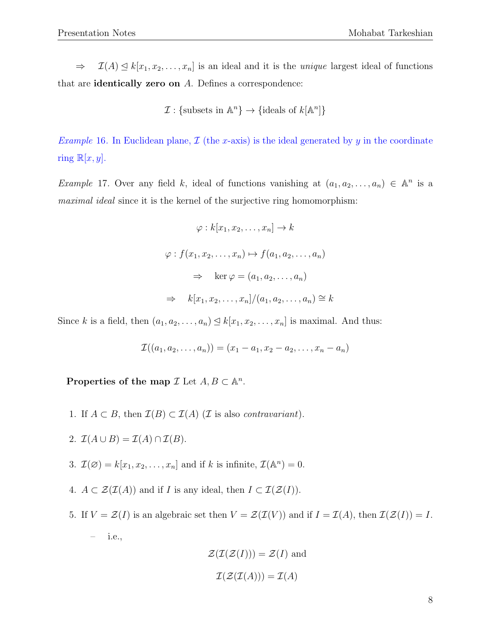$\Rightarrow$   $\mathcal{I}(A) \leq k[x_1, x_2, \ldots, x_n]$  is an ideal and it is the *unique* largest ideal of functions that are identically zero on A. Defines a correspondence:

$$
\mathcal{I}: \{\text{subsets in } \mathbb{A}^n\} \to \{\text{ideals of } k[\mathbb{A}^n]\}\
$$

*Example* 16. In Euclidean plane,  $\mathcal{I}$  (the x-axis) is the ideal generated by y in the coordinate ring  $\mathbb{R}[x, y]$ .

*Example 17.* Over any field k, ideal of functions vanishing at  $(a_1, a_2, \ldots, a_n) \in \mathbb{A}^n$  is a maximal ideal since it is the kernel of the surjective ring homomorphism:

$$
\varphi : k[x_1, x_2, \dots, x_n] \to k
$$
  

$$
\varphi : f(x_1, x_2, \dots, x_n) \mapsto f(a_1, a_2, \dots, a_n)
$$
  

$$
\Rightarrow \ker \varphi = (a_1, a_2, \dots, a_n)
$$
  

$$
\Rightarrow k[x_1, x_2, \dots, x_n]/(a_1, a_2, \dots, a_n) \cong k
$$

Since k is a field, then  $(a_1, a_2, \ldots, a_n) \leq k[x_1, x_2, \ldots, x_n]$  is maximal. And thus:

$$
\mathcal{I}((a_1, a_2, \ldots, a_n)) = (x_1 - a_1, x_2 - a_2, \ldots, x_n - a_n)
$$

Properties of the map  $\mathcal I$  Let  $A, B \subset \mathbb{A}^n$ .

- 1. If  $A \subset B$ , then  $\mathcal{I}(B) \subset \mathcal{I}(A)$  (*I* is also *contravariant*).
- 2.  $\mathcal{I}(A \cup B) = \mathcal{I}(A) \cap \mathcal{I}(B)$ .
- 3.  $\mathcal{I}(\emptyset) = k[x_1, x_2, \dots, x_n]$  and if k is infinite,  $\mathcal{I}(\mathbb{A}^n) = 0$ .
- 4.  $A \subset \mathcal{Z}(\mathcal{I}(A))$  and if I is any ideal, then  $I \subset \mathcal{I}(\mathcal{Z}(I))$ .
- 5. If  $V = \mathcal{Z}(I)$  is an algebraic set then  $V = \mathcal{Z}(\mathcal{I}(V))$  and if  $I = \mathcal{I}(A)$ , then  $\mathcal{I}(\mathcal{Z}(I)) = I$ . – i.e.,

$$
\mathcal{Z}(\mathcal{I}(\mathcal{Z}(I))) = \mathcal{Z}(I) \text{ and}
$$

$$
\mathcal{I}(\mathcal{Z}(\mathcal{I}(A))) = \mathcal{I}(A)
$$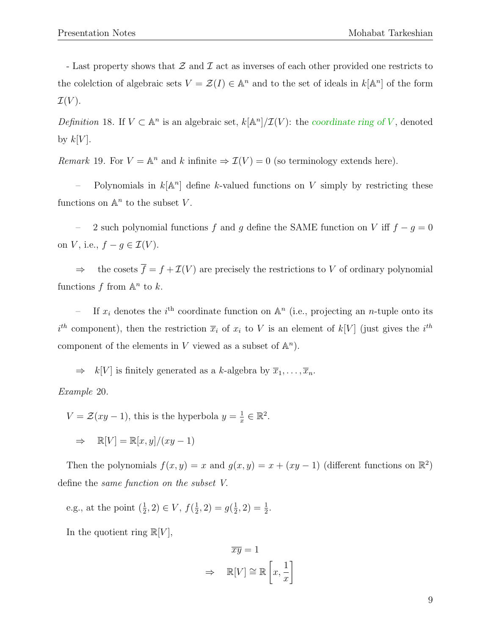- Last property shows that  $\mathcal Z$  and  $\mathcal I$  act as inverses of each other provided one restricts to the colelction of algebraic sets  $V = \mathcal{Z}(I) \in \mathbb{A}^n$  and to the set of ideals in  $k[\mathbb{A}^n]$  of the form  $\mathcal{I}(V)$ .

Definition 18. If  $V \subset \mathbb{A}^n$  is an algebraic set,  $k[\mathbb{A}^n]/\mathcal{I}(V)$ : the coordinate ring of V, denoted by  $k[V]$ .

Remark 19. For  $V = \mathbb{A}^n$  and k infinite  $\Rightarrow \mathcal{I}(V) = 0$  (so terminology extends here).

- Polynomials in  $k[\mathbb{A}^n]$  define k-valued functions on V simply by restricting these functions on  $\mathbb{A}^n$  to the subset V.

– 2 such polynomial functions f and g define the SAME function on V iff  $f - g = 0$ on V, i.e.,  $f - g \in \mathcal{I}(V)$ .

 $\Rightarrow$  the cosets  $\overline{f} = f + \mathcal{I}(V)$  are precisely the restrictions to V of ordinary polynomial functions f from  $\mathbb{A}^n$  to k.

- If  $x_i$  denotes the i<sup>th</sup> coordinate function on  $\mathbb{A}^n$  (i.e., projecting an *n*-tuple onto its  $i^{th}$  component), then the restriction  $\bar{x}_i$  of  $x_i$  to V is an element of  $k[V]$  (just gives the  $i^{th}$ component of the elements in V viewed as a subset of  $\mathbb{A}^n$ ).

 $\Rightarrow$  k[V] is finitely generated as a k-algebra by  $\overline{x}_1, \ldots, \overline{x}_n$ .

Example 20.

 $V = \mathcal{Z}(xy-1)$ , this is the hyperbola  $y = \frac{1}{x}$  $\frac{1}{x} \in \mathbb{R}^2$ .

 $\Rightarrow \mathbb{R}[V] = \mathbb{R}[x, y]/(xy - 1)$ 

Then the polynomials  $f(x, y) = x$  and  $g(x, y) = x + (xy - 1)$  (different functions on  $\mathbb{R}^2$ ) define the same function on the subset V.

e.g., at the point  $(\frac{1}{2}, 2) \in V$ ,  $f(\frac{1}{2})$  $(\frac{1}{2}, 2) = g(\frac{1}{2})$  $(\frac{1}{2}, 2) = \frac{1}{2}.$ 

In the quotient ring  $\mathbb{R}[V]$ ,

$$
\overline{xy} = 1
$$

$$
\Rightarrow \mathbb{R}[V] \cong \mathbb{R}\left[x, \frac{1}{x}\right]
$$